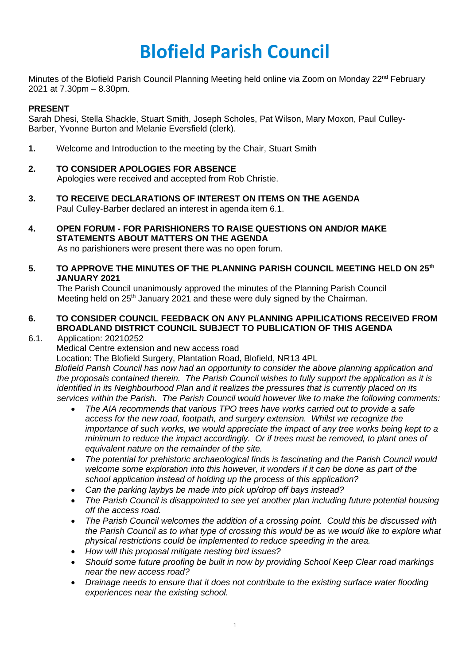# **Blofield Parish Council**

Minutes of the Blofield Parish Council Planning Meeting held online via Zoom on Monday 22<sup>nd</sup> February 2021 at 7.30pm – 8.30pm.

#### **PRESENT**

Sarah Dhesi, Stella Shackle, Stuart Smith, Joseph Scholes, Pat Wilson, Mary Moxon, Paul Culley-Barber, Yvonne Burton and Melanie Eversfield (clerk).

- **1.** Welcome and Introduction to the meeting by the Chair, Stuart Smith
- **2. TO CONSIDER APOLOGIES FOR ABSENCE** Apologies were received and accepted from Rob Christie.
- **3. TO RECEIVE DECLARATIONS OF INTEREST ON ITEMS ON THE AGENDA**
- Paul Culley-Barber declared an interest in agenda item 6.1.
- **4. OPEN FORUM - FOR PARISHIONERS TO RAISE QUESTIONS ON AND/OR MAKE STATEMENTS ABOUT MATTERS ON THE AGENDA**  As no parishioners were present there was no open forum.
- **5. TO APPROVE THE MINUTES OF THE PLANNING PARISH COUNCIL MEETING HELD ON 25th JANUARY 2021**

The Parish Council unanimously approved the minutes of the Planning Parish Council Meeting held on 25<sup>th</sup> January 2021 and these were duly signed by the Chairman.

## **6. TO CONSIDER COUNCIL FEEDBACK ON ANY PLANNING APPILICATIONS RECEIVED FROM BROADLAND DISTRICT COUNCIL SUBJECT TO PUBLICATION OF THIS AGENDA**

#### 6.1. Application: 20210252

Medical Centre extension and new access road

Location: The Blofield Surgery, Plantation Road, Blofield, NR13 4PL

 *Blofield Parish Council has now had an opportunity to consider the above planning application and the proposals contained therein. The Parish Council wishes to fully support the application as it is identified in its Neighbourhood Plan and it realizes the pressures that is currently placed on its services within the Parish. The Parish Council would however like to make the following comments:* 

- *The AIA recommends that various TPO trees have works carried out to provide a safe access for the new road, footpath, and surgery extension. Whilst we recognize the importance of such works, we would appreciate the impact of any tree works being kept to a minimum to reduce the impact accordingly. Or if trees must be removed, to plant ones of equivalent nature on the remainder of the site.*
- *The potential for prehistoric archaeological finds is fascinating and the Parish Council would welcome some exploration into this however, it wonders if it can be done as part of the school application instead of holding up the process of this application?*
- *Can the parking laybys be made into pick up/drop off bays instead?*
- *The Parish Council is disappointed to see yet another plan including future potential housing off the access road.*
- *The Parish Council welcomes the addition of a crossing point. Could this be discussed with the Parish Council as to what type of crossing this would be as we would like to explore what physical restrictions could be implemented to reduce speeding in the area.*
- *How will this proposal mitigate nesting bird issues?*
- *Should some future proofing be built in now by providing School Keep Clear road markings near the new access road?*
- *Drainage needs to ensure that it does not contribute to the existing surface water flooding experiences near the existing school.*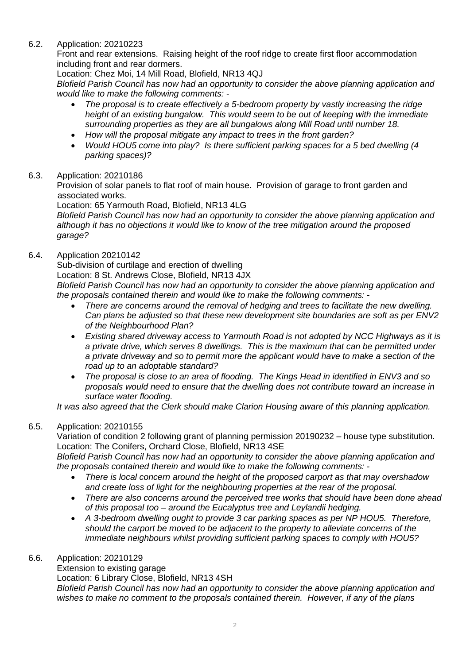# 6.2. Application: 20210223

Front and rear extensions. Raising height of the roof ridge to create first floor accommodation including front and rear dormers.

Location: Chez Moi, 14 Mill Road, Blofield, NR13 4QJ

*Blofield Parish Council has now had an opportunity to consider the above planning application and would like to make the following comments: -*

- *The proposal is to create effectively a 5-bedroom property by vastly increasing the ridge height of an existing bungalow. This would seem to be out of keeping with the immediate surrounding properties as they are all bungalows along Mill Road until number 18.*
- *How will the proposal mitigate any impact to trees in the front garden?*
- *Would HOU5 come into play? Is there sufficient parking spaces for a 5 bed dwelling (4 parking spaces)?*

## 6.3. Application: 20210186

Provision of solar panels to flat roof of main house. Provision of garage to front garden and associated works.

Location: 65 Yarmouth Road, Blofield, NR13 4LG

*Blofield Parish Council has now had an opportunity to consider the above planning application and although it has no objections it would like to know of the tree mitigation around the proposed garage?* 

## 6.4. Application 20210142

Sub-division of curtilage and erection of dwelling

Location: 8 St. Andrews Close, Blofield, NR13 4JX

*Blofield Parish Council has now had an opportunity to consider the above planning application and the proposals contained therein and would like to make the following comments: -*

- *There are concerns around the removal of hedging and trees to facilitate the new dwelling. Can plans be adjusted so that these new development site boundaries are soft as per ENV2 of the Neighbourhood Plan?*
- *Existing shared driveway access to Yarmouth Road is not adopted by NCC Highways as it is a private drive, which serves 8 dwellings. This is the maximum that can be permitted under a private driveway and so to permit more the applicant would have to make a section of the road up to an adoptable standard?*
- *The proposal is close to an area of flooding. The Kings Head in identified in ENV3 and so proposals would need to ensure that the dwelling does not contribute toward an increase in surface water flooding.*

*It was also agreed that the Clerk should make Clarion Housing aware of this planning application.* 

# 6.5. Application: 20210155

Variation of condition 2 following grant of planning permission 20190232 – house type substitution. Location: The Conifers, Orchard Close, Blofield, NR13 4SE

*Blofield Parish Council has now had an opportunity to consider the above planning application and the proposals contained therein and would like to make the following comments: -*

- *There is local concern around the height of the proposed carport as that may overshadow and create loss of light for the neighbouring properties at the rear of the proposal.*
- *There are also concerns around the perceived tree works that should have been done ahead of this proposal too – around the Eucalyptus tree and Leylandii hedging.*
- *A 3-bedroom dwelling ought to provide 3 car parking spaces as per NP HOU5. Therefore, should the carport be moved to be adjacent to the property to alleviate concerns of the immediate neighbours whilst providing sufficient parking spaces to comply with HOU5?*

#### 6.6. Application: 20210129

Extension to existing garage Location: 6 Library Close, Blofield, NR13 4SH *Blofield Parish Council has now had an opportunity to consider the above planning application and wishes to make no comment to the proposals contained therein. However, if any of the plans*